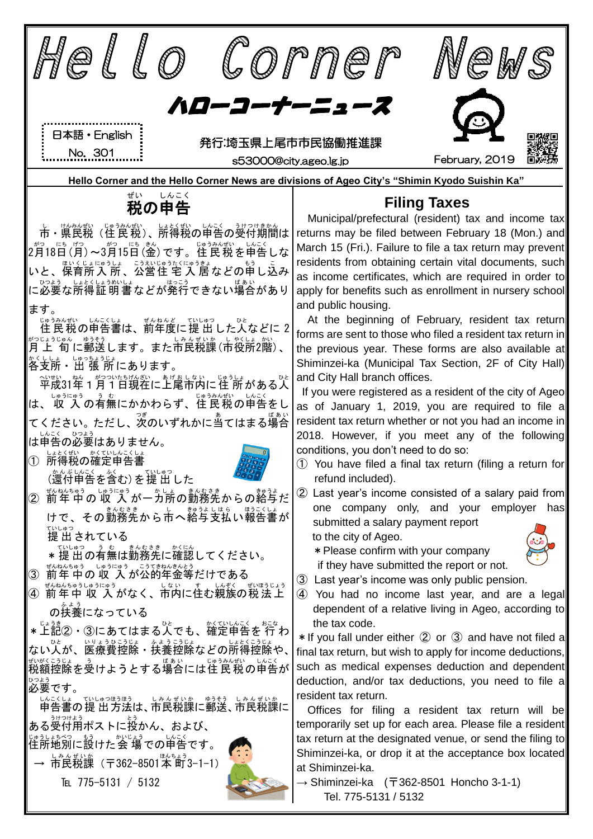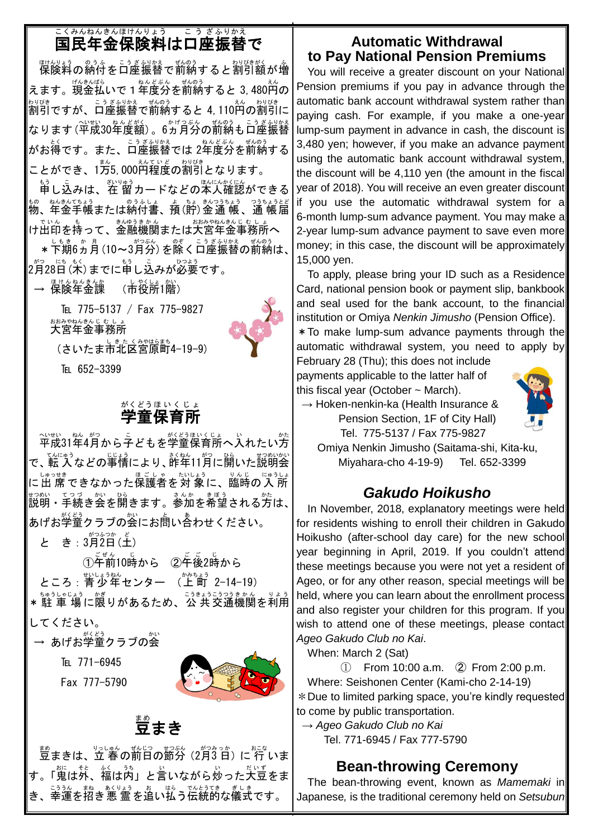#### 国民年金保険料は口座振替で こくみん ねんきん ほけんりょう こ う ざ ふりかえ

脚裂綺の紛付を口座振替で前納すると割引額が増 えます。現金払いで1年度分を前納すると 3,480円の \*シ<sup>ロぴき</sup> です。 こうざ<u>ミシ</u>タネミ でものう<br>割引ですが、口座振替で前納すると 4,110円の割引に なります (平成30年度額) 。6ヵ月分の前納も口座振替 がお得です。また、ロ座振替では 2年度分を前納する ことができ、1万5,000<sup>えていど、おりびき</sup><br>ことができ、1万5,000円程度の割引となります。

もう<br>申し込みは、在 留カードなどの本人確認ができる <u>もの、ねんさんよう。のうふしょう。お</u>うちょう。つうちょうとど<br>物、年金手帳または納付書、預(貯)金通 帳、通 帳届 でいん。もものでももんもんもんきんじむしょ<br>け出印を持って、金融機関または大宮年金事務所へ

\* 下期6ヵ月(10~3月分)を除く口座振替の前納は、 2月 がつ 28日 にち (木 もく )までに申 もう し込 こ みが必要 ひつよう です。

— <sup>ほゖんねんきんか</sup><br>→ 保険年金課 (市役所1階)<br>

> TEL 775-5137 / Fax 775-9827 ぉぉぁゃぉんきんじ もしょ<br>**大宮年金事務所**

(さいたま市北区宮原町4-19-9)

TEL 652-3399

#### 学童 保育所 がくどう ほ い く じ ょ

平成 へいせい 31年 ねん 4月 がつ から子 こ どもを学童 がくどう 保育所 ほいくじょ へ入 い れたい方 かた で、転入などの事情により、詐殺11月に開いた説明会 に出 席 しゅっせき できなかった保護者 ほごしゃ を対 象 たいしょう に、臨時 りんじ の入 所 にゅうしょ <sub>彭の、そろ</sub>。<br>説明・手続き会を開きます。参加を希望される方は、| あげお学童クラブの会にお蔄い舎わせください。

と き: 3月2日(土)

①千前10時から ②千後2時から ところ : 青少年センター (上町 2-14-19) \*駐 車 場に限りがあるため、公 共交通機関を利用 してください。

— あげお学童クラブの会

TEI 771-6945

Fax 777-5790



## 蔓まき

<u>まめ</u><br>豆まきは、立 春の前日の節分 (2月3日) に 行 いま す。「蒐は外、縊は内」と言いながら炒った大豆をま き、幸運を招き悪 霊を追い払う伝統的な儀式です。

#### **Automatic Withdrawal to Pay National Pension Premiums**

You will receive a greater discount on your National Pension premiums if you pay in advance through the automatic bank account withdrawal system rather than paying cash. For example, if you make a one-year lump-sum payment in advance in cash, the discount is 3,480 yen; however, if you make an advance payment using the automatic bank account withdrawal system, the discount will be 4,110 yen (the amount in the fiscal year of 2018). You will receive an even greater discount if you use the automatic withdrawal system for a 6-month lump-sum advance payment. You may make a 2-year lump-sum advance payment to save even more money; in this case, the discount will be approximately 15,000 yen.

To apply, please bring your ID such as a Residence Card, national pension book or payment slip, bankbook and seal used for the bank account, to the financial institution or Omiya *Nenkin Jimusho* (Pension Office).

\*To make lump-sum advance payments through the automatic withdrawal system, you need to apply by

February 28 (Thu); this does not include payments applicable to the latter half of this fiscal year (October  $\sim$  March).



 $\rightarrow$  Hoken-nenkin-ka (Health Insurance & Pension Section, 1F of City Hall) Tel. 775-5137 / Fax 775-9827

Omiya Nenkin Jimusho (Saitama-shi, Kita-ku, Miyahara-cho 4-19-9) Tel. 652-3399

### *Gakudo Hoikusho*

In November, 2018, explanatory meetings were held for residents wishing to enroll their children in Gakudo Hoikusho (after-school day care) for the new school year beginning in April, 2019. If you couldn't attend these meetings because you were not yet a resident of Ageo, or for any other reason, special meetings will be held, where you can learn about the enrollment process and also register your children for this program. If you wish to attend one of these meetings, please contact *Ageo Gakudo Club no Kai*.

When: March 2 (Sat)

 $\textcircled{1}$  From 10:00 a.m.  $\textcircled{2}$  From 2:00 p.m. Where: Seishonen Center (Kami-cho 2-14-19) \*Due to limited parking space, you're kindly requested to come by public transportation.

→ *Ageo Gakudo Club no Kai*  Tel. 771-6945 / Fax 777-5790

### **Bean-throwing Ceremony**

The bean-throwing event, known as *Mamemaki* in Japanese*,* is the traditional ceremony held on *Setsubun*

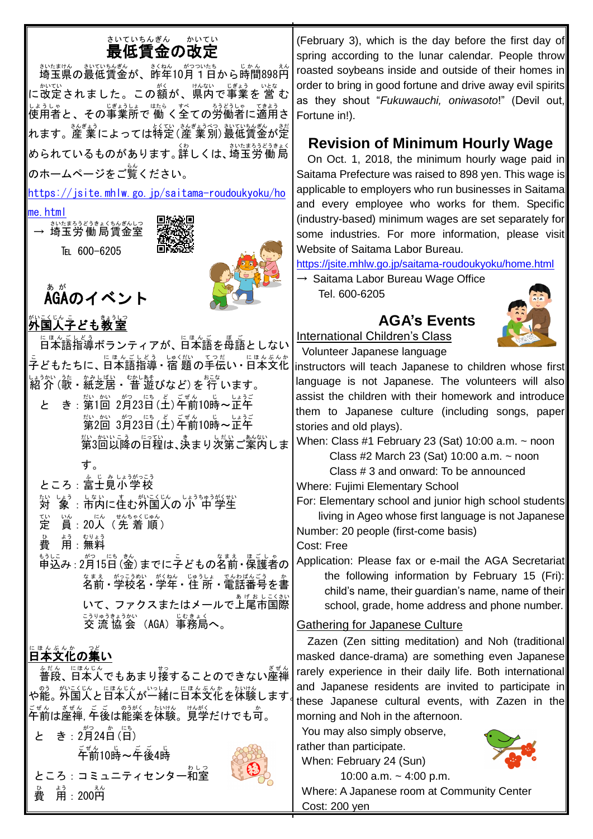# まいていちんぎん あいてい<br>**最低賃金の改定**

きいたまけん。 むいんぎょう ぶんきょう じゅん さんぎょう きょうしょう きょうしゅう きょうしゅう きょうしゅう に改定されました。この額が、県内で事業を 営 む しょうしゃ<br>使用者と、その事業所で 働 く全ての労働者に適用さ れます。産 業によっては特定(産 業別)最低賃金が定 められているものがあります。詳しくは、、<sup>設まる32</sup>。約局 のホームページをご覧ください。

[https://jsite.mhlw.go.jp/saitama-roudoukyoku/ho](https://jsite.mhlw.go.jp/saitama-roudoukyoku/home.html)

[me.html](https://jsite.mhlw.go.jp/saitama-roudoukyoku/home.html)

 $\rightarrow \,$  埼玉労 働 局賃金室 さいたま ろうどうきょく ちんぎんしつ TEL 600-6205



# **ÅGAのイベント**



…<br>**外国人子ども教室** 

にほんごしどう<br>日本語指導ボランティアが、日本語を母語としない こ<br>子どもたちに、日本語指導 • 宿 題の手伝い • 日本文化 紹 介 しょうかい (歌 うた ・紙芝居 かみしばい ・ 昔 むかし 遊 あそ びなど)を 行 おこな います。

と き : 第1回 2月23日(土)午前10時~正午 。<br>第2回 3月23日(土)午前10時~正午 称。<br>第3回以降の日程は、決まり次第ご案内しま

す。

ところ : 富士見小学校

- 対 たい しょう。」ないにもかい。<br>「象 : 市内に住む外国人の「小 中 学生
- 定 てい 。<br>眞:20人(先 着 順)

。<br>費 ょぅ <sub>むりょう</sub><br>用:無料

<u>も。</u><br>申込み : 2月15日 (金) までに子どもの名前 · 保護者の \* まぇ。 がっこうめい が、ねん。 じゅうしょ でんわばんごう ゟ ゕ<br>名前・学校名・学年・住 所・電話番号を書 いて、ファクスまたはメールで上尾市国際 ミッ<sub>の言葉さかい</sub><br>交 流 協 会 (AGA)事務局へ。

## □よく、<br>日本文化の集い

。<sub>たん、にほんじん</sub><br>普段、日本人でもあまり接することのできない座禅 〜∞ぅ。▓いこくじん、└≦んじん。└○しょ、└└≦んぶんか。たいけん<br>や能。外国人と日本人が一緒に日本文化を体験します。 こぜん ぎぜん こ こ のうがく たいけん けんがく<br>午前は座禅, 午後は能楽を体験。見学だけでも可。

と き: 2月24日(日) <sub>ごぜん じ</sub> ごご じ<br>午前10時〜午後4時 ところ : コミュニティセンター和室 。<br>費 用:200円



(February 3), which is the day before the first day of spring according to the lunar calendar*.* People throw roasted soybeans inside and outside of their homes in order to bring in good fortune and drive away evil spirits as they shout "*Fukuwauchi, oniwasoto*!" (Devil out, Fortune in!).

### **Revision of Minimum Hourly Wage**

On Oct. 1, 2018, the minimum hourly wage paid in Saitama Prefecture was raised to 898 yen. This wage is applicable to employers who run businesses in Saitama and every employee who works for them. Specific (industry-based) minimum wages are set separately for some industries. For more information, please visit Website of Saitama Labor Bureau.

<https://jsite.mhlw.go.jp/saitama-roudoukyoku/home.html>

**AGA's Events**

 $\rightarrow$  Saitama Labor Bureau Wage Office Tel. 600-6205



International Children's Class Volunteer Japanese language

instructors will teach Japanese to children whose first language is not Japanese. The volunteers will also assist the children with their homework and introduce them to Japanese culture (including songs, paper stories and old plays).

When: Class #1 February 23 (Sat) 10:00 a.m.  $\sim$  noon Class #2 March 23 (Sat) 10:00 a.m.  $\sim$  noon Class # 3 and onward: To be announced Where: Fujimi Elementary School

For: Elementary school and junior high school students living in Ageo whose first language is not Japanese Number: 20 people (first-come basis) Cost: Free

Application: Please fax or e-mail the AGA Secretariat the following information by February 15 (Fri): child's name, their guardian's name, name of their school, grade, home address and phone number.

### Gathering for Japanese Culture

 Zazen (Zen sitting meditation) and Noh (traditional masked dance-drama) are something even Japanese rarely experience in their daily life. Both international and Japanese residents are invited to participate in these Japanese cultural events, with Zazen in the morning and Noh in the afternoon.

You may also simply observe, rather than participate.

When: February 24 (Sun)



10:00 a.m.  $\sim$  4:00 p.m. Where: A Japanese room at Community Center Cost: 200 yen